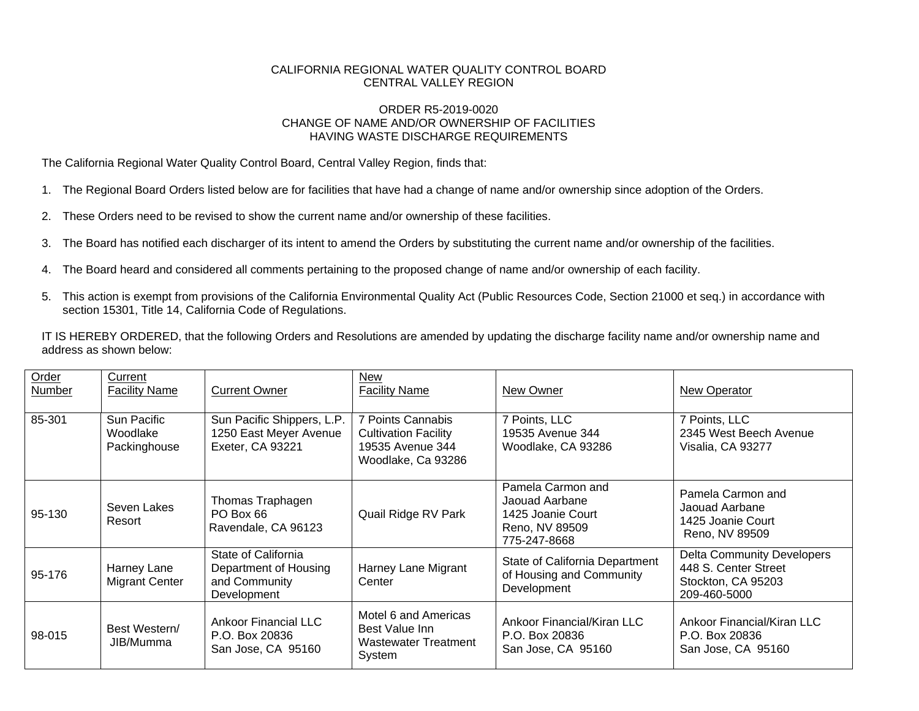## CALIFORNIA REGIONAL WATER QUALITY CONTROL BOARD CENTRAL VALLEY REGION

## ORDER R5-2019-0020 CHANGE OF NAME AND/OR OWNERSHIP OF FACILITIES HAVING WASTE DISCHARGE REQUIREMENTS

The California Regional Water Quality Control Board, Central Valley Region, finds that:

- 1. The Regional Board Orders listed below are for facilities that have had a change of name and/or ownership since adoption of the Orders.
- 2. These Orders need to be revised to show the current name and/or ownership of these facilities.
- 3. The Board has notified each discharger of its intent to amend the Orders by substituting the current name and/or ownership of the facilities.
- 4. The Board heard and considered all comments pertaining to the proposed change of name and/or ownership of each facility.
- 5. This action is exempt from provisions of the California Environmental Quality Act (Public Resources Code, Section 21000 et seq.) in accordance with section 15301, Title 14, California Code of Regulations.

IT IS HEREBY ORDERED, that the following Orders and Resolutions are amended by updating the discharge facility name and/or ownership name and address as shown below:

| Order<br>Number | Current<br><b>Facility Name</b>         | <b>Current Owner</b>                                                         | New<br><b>Facility Name</b>                                                                | New Owner                                                                                  | New Operator                                                                                    |
|-----------------|-----------------------------------------|------------------------------------------------------------------------------|--------------------------------------------------------------------------------------------|--------------------------------------------------------------------------------------------|-------------------------------------------------------------------------------------------------|
| 85-301          | Sun Pacific<br>Woodlake<br>Packinghouse | Sun Pacific Shippers, L.P.<br>1250 East Meyer Avenue<br>Exeter, CA 93221     | 7 Points Cannabis<br><b>Cultivation Facility</b><br>19535 Avenue 344<br>Woodlake, Ca 93286 | 7 Points, LLC<br>19535 Avenue 344<br>Woodlake, CA 93286                                    | 7 Points, LLC<br>2345 West Beech Avenue<br>Visalia, CA 93277                                    |
| 95-130          | Seven Lakes<br>Resort                   | Thomas Traphagen<br>PO Box 66<br>Ravendale, CA 96123                         | Quail Ridge RV Park                                                                        | Pamela Carmon and<br>Jaouad Aarbane<br>1425 Joanie Court<br>Reno, NV 89509<br>775-247-8668 | Pamela Carmon and<br>Jaouad Aarbane<br>1425 Joanie Court<br>Reno, NV 89509                      |
| 95-176          | Harney Lane<br>Migrant Center           | State of California<br>Department of Housing<br>and Community<br>Development | Harney Lane Migrant<br>Center                                                              | State of California Department<br>of Housing and Community<br>Development                  | <b>Delta Community Developers</b><br>448 S. Center Street<br>Stockton, CA 95203<br>209-460-5000 |
| 98-015          | Best Western/<br>JIB/Mumma              | <b>Ankoor Financial LLC</b><br>P.O. Box 20836<br>San Jose, CA 95160          | Motel 6 and Americas<br>Best Value Inn<br>Wastewater Treatment<br>System                   | Ankoor Financial/Kiran LLC<br>P.O. Box 20836<br>San Jose, CA 95160                         | Ankoor Financial/Kiran LLC<br>P.O. Box 20836<br>San Jose, CA 95160                              |